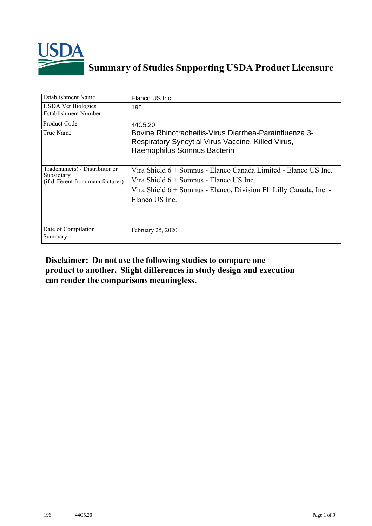

## **Summary of Studies Supporting USDA Product Licensure**

| <b>Establishment Name</b>                                                       | Elanco US Inc.                                                                                                                                                                                     |
|---------------------------------------------------------------------------------|----------------------------------------------------------------------------------------------------------------------------------------------------------------------------------------------------|
| <b>USDA Vet Biologics</b><br>Establishment Number                               | 196                                                                                                                                                                                                |
| <b>Product Code</b>                                                             | 44C5.20                                                                                                                                                                                            |
| True Name                                                                       | Bovine Rhinotracheitis-Virus Diarrhea-Parainfluenza 3-<br>Respiratory Syncytial Virus Vaccine, Killed Virus,<br>Haemophilus Somnus Bacterin                                                        |
| Tradename(s) / Distributor or<br>Subsidiary<br>(if different from manufacturer) | Vira Shield 6 + Somnus - Elanco Canada Limited - Elanco US Inc.<br>Vira Shield 6 + Somnus - Elanco US Inc.<br>Vira Shield 6 + Somnus - Elanco, Division Eli Lilly Canada, Inc. -<br>Elanco US Inc. |
| Date of Compilation<br>Summary                                                  | February 25, 2020                                                                                                                                                                                  |

## **Disclaimer: Do not use the following studiesto compare one product to another. Slight differencesin study design and execution can render the comparisons meaningless.**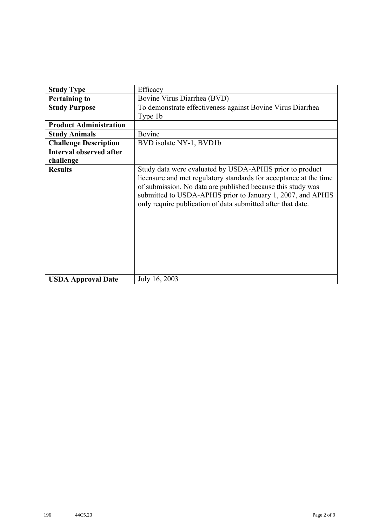| <b>Study Type</b>              | Efficacy                                                                                                                                                                                                                                                                                                                   |
|--------------------------------|----------------------------------------------------------------------------------------------------------------------------------------------------------------------------------------------------------------------------------------------------------------------------------------------------------------------------|
| <b>Pertaining to</b>           | Bovine Virus Diarrhea (BVD)                                                                                                                                                                                                                                                                                                |
| <b>Study Purpose</b>           | To demonstrate effectiveness against Bovine Virus Diarrhea                                                                                                                                                                                                                                                                 |
|                                | Type 1b                                                                                                                                                                                                                                                                                                                    |
| <b>Product Administration</b>  |                                                                                                                                                                                                                                                                                                                            |
| <b>Study Animals</b>           | Bovine                                                                                                                                                                                                                                                                                                                     |
| <b>Challenge Description</b>   | BVD isolate NY-1, BVD1b                                                                                                                                                                                                                                                                                                    |
| <b>Interval observed after</b> |                                                                                                                                                                                                                                                                                                                            |
| challenge                      |                                                                                                                                                                                                                                                                                                                            |
| <b>Results</b>                 | Study data were evaluated by USDA-APHIS prior to product<br>licensure and met regulatory standards for acceptance at the time<br>of submission. No data are published because this study was<br>submitted to USDA-APHIS prior to January 1, 2007, and APHIS<br>only require publication of data submitted after that date. |
| <b>USDA Approval Date</b>      | July 16, 2003                                                                                                                                                                                                                                                                                                              |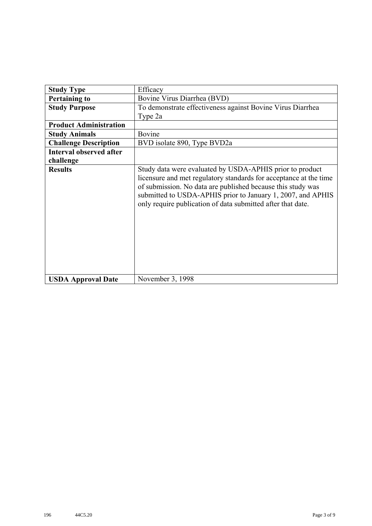| <b>Study Type</b>              | Efficacy                                                                                                                                                                                                                                                                                                                   |
|--------------------------------|----------------------------------------------------------------------------------------------------------------------------------------------------------------------------------------------------------------------------------------------------------------------------------------------------------------------------|
| <b>Pertaining to</b>           | Bovine Virus Diarrhea (BVD)                                                                                                                                                                                                                                                                                                |
| <b>Study Purpose</b>           | To demonstrate effectiveness against Bovine Virus Diarrhea                                                                                                                                                                                                                                                                 |
|                                | Type 2a                                                                                                                                                                                                                                                                                                                    |
| <b>Product Administration</b>  |                                                                                                                                                                                                                                                                                                                            |
| <b>Study Animals</b>           | Bovine                                                                                                                                                                                                                                                                                                                     |
| <b>Challenge Description</b>   | BVD isolate 890, Type BVD2a                                                                                                                                                                                                                                                                                                |
| <b>Interval observed after</b> |                                                                                                                                                                                                                                                                                                                            |
| challenge                      |                                                                                                                                                                                                                                                                                                                            |
| <b>Results</b>                 | Study data were evaluated by USDA-APHIS prior to product<br>licensure and met regulatory standards for acceptance at the time<br>of submission. No data are published because this study was<br>submitted to USDA-APHIS prior to January 1, 2007, and APHIS<br>only require publication of data submitted after that date. |
| <b>USDA Approval Date</b>      | November 3, 1998                                                                                                                                                                                                                                                                                                           |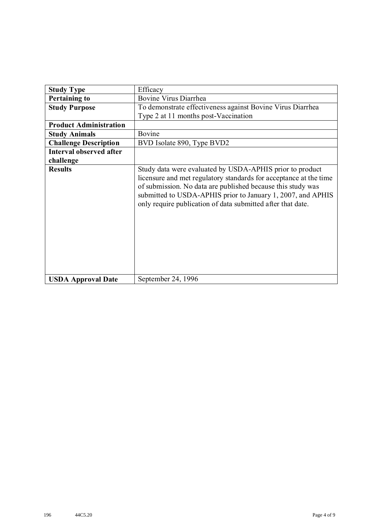| <b>Study Type</b>              | Efficacy                                                                                                                                                                                                                                                                                                                   |
|--------------------------------|----------------------------------------------------------------------------------------------------------------------------------------------------------------------------------------------------------------------------------------------------------------------------------------------------------------------------|
| <b>Pertaining to</b>           | Bovine Virus Diarrhea                                                                                                                                                                                                                                                                                                      |
| <b>Study Purpose</b>           | To demonstrate effectiveness against Bovine Virus Diarrhea                                                                                                                                                                                                                                                                 |
|                                | Type 2 at 11 months post-Vaccination                                                                                                                                                                                                                                                                                       |
| <b>Product Administration</b>  |                                                                                                                                                                                                                                                                                                                            |
| <b>Study Animals</b>           | Bovine                                                                                                                                                                                                                                                                                                                     |
| <b>Challenge Description</b>   | BVD Isolate 890, Type BVD2                                                                                                                                                                                                                                                                                                 |
| <b>Interval observed after</b> |                                                                                                                                                                                                                                                                                                                            |
| challenge                      |                                                                                                                                                                                                                                                                                                                            |
| <b>Results</b>                 | Study data were evaluated by USDA-APHIS prior to product<br>licensure and met regulatory standards for acceptance at the time<br>of submission. No data are published because this study was<br>submitted to USDA-APHIS prior to January 1, 2007, and APHIS<br>only require publication of data submitted after that date. |
| <b>USDA Approval Date</b>      | September 24, 1996                                                                                                                                                                                                                                                                                                         |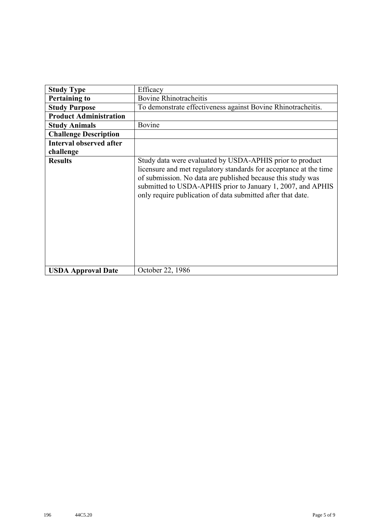| <b>Study Type</b>              | Efficacy                                                                                                                                                                                                                                                                                                                   |
|--------------------------------|----------------------------------------------------------------------------------------------------------------------------------------------------------------------------------------------------------------------------------------------------------------------------------------------------------------------------|
| <b>Pertaining to</b>           | <b>Bovine Rhinotracheitis</b>                                                                                                                                                                                                                                                                                              |
| <b>Study Purpose</b>           | To demonstrate effectiveness against Bovine Rhinotracheitis.                                                                                                                                                                                                                                                               |
| <b>Product Administration</b>  |                                                                                                                                                                                                                                                                                                                            |
| <b>Study Animals</b>           | Bovine                                                                                                                                                                                                                                                                                                                     |
| <b>Challenge Description</b>   |                                                                                                                                                                                                                                                                                                                            |
| <b>Interval observed after</b> |                                                                                                                                                                                                                                                                                                                            |
| challenge                      |                                                                                                                                                                                                                                                                                                                            |
| <b>Results</b>                 | Study data were evaluated by USDA-APHIS prior to product<br>licensure and met regulatory standards for acceptance at the time<br>of submission. No data are published because this study was<br>submitted to USDA-APHIS prior to January 1, 2007, and APHIS<br>only require publication of data submitted after that date. |
| <b>USDA Approval Date</b>      | October 22, 1986                                                                                                                                                                                                                                                                                                           |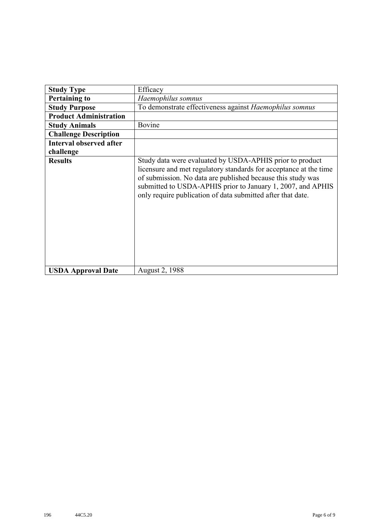|                                | Efficacy                                                                                                                                                                                                                                                                                                                   |
|--------------------------------|----------------------------------------------------------------------------------------------------------------------------------------------------------------------------------------------------------------------------------------------------------------------------------------------------------------------------|
| <b>Study Type</b>              |                                                                                                                                                                                                                                                                                                                            |
| <b>Pertaining to</b>           | Haemophilus somnus                                                                                                                                                                                                                                                                                                         |
| <b>Study Purpose</b>           | To demonstrate effectiveness against Haemophilus somnus                                                                                                                                                                                                                                                                    |
| <b>Product Administration</b>  |                                                                                                                                                                                                                                                                                                                            |
| <b>Study Animals</b>           | Bovine                                                                                                                                                                                                                                                                                                                     |
| <b>Challenge Description</b>   |                                                                                                                                                                                                                                                                                                                            |
| <b>Interval observed after</b> |                                                                                                                                                                                                                                                                                                                            |
| challenge                      |                                                                                                                                                                                                                                                                                                                            |
| <b>Results</b>                 | Study data were evaluated by USDA-APHIS prior to product<br>licensure and met regulatory standards for acceptance at the time<br>of submission. No data are published because this study was<br>submitted to USDA-APHIS prior to January 1, 2007, and APHIS<br>only require publication of data submitted after that date. |
| <b>USDA Approval Date</b>      | <b>August 2, 1988</b>                                                                                                                                                                                                                                                                                                      |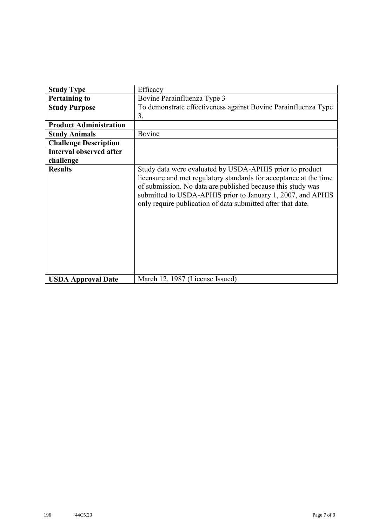| <b>Study Type</b>              | Efficacy                                                                                                                                                                                                                                                                                                                   |
|--------------------------------|----------------------------------------------------------------------------------------------------------------------------------------------------------------------------------------------------------------------------------------------------------------------------------------------------------------------------|
| <b>Pertaining to</b>           | Bovine Parainfluenza Type 3                                                                                                                                                                                                                                                                                                |
| <b>Study Purpose</b>           | To demonstrate effectiveness against Bovine Parainfluenza Type                                                                                                                                                                                                                                                             |
|                                | 3.                                                                                                                                                                                                                                                                                                                         |
| <b>Product Administration</b>  |                                                                                                                                                                                                                                                                                                                            |
| <b>Study Animals</b>           | Bovine                                                                                                                                                                                                                                                                                                                     |
| <b>Challenge Description</b>   |                                                                                                                                                                                                                                                                                                                            |
| <b>Interval observed after</b> |                                                                                                                                                                                                                                                                                                                            |
| challenge                      |                                                                                                                                                                                                                                                                                                                            |
| <b>Results</b>                 | Study data were evaluated by USDA-APHIS prior to product<br>licensure and met regulatory standards for acceptance at the time<br>of submission. No data are published because this study was<br>submitted to USDA-APHIS prior to January 1, 2007, and APHIS<br>only require publication of data submitted after that date. |
| <b>USDA Approval Date</b>      | March 12, 1987 (License Issued)                                                                                                                                                                                                                                                                                            |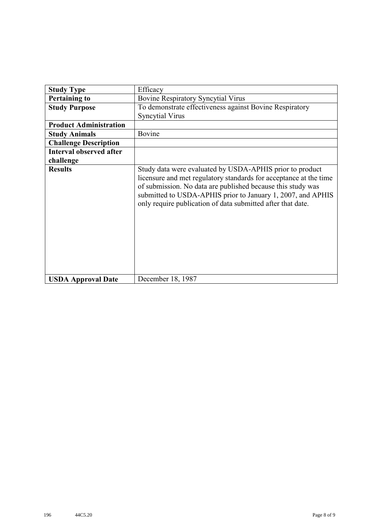| <b>Study Type</b>              | Efficacy                                                                                                                                                                                                                                                                                                                   |
|--------------------------------|----------------------------------------------------------------------------------------------------------------------------------------------------------------------------------------------------------------------------------------------------------------------------------------------------------------------------|
| <b>Pertaining to</b>           | <b>Bovine Respiratory Syncytial Virus</b>                                                                                                                                                                                                                                                                                  |
| <b>Study Purpose</b>           | To demonstrate effectiveness against Bovine Respiratory                                                                                                                                                                                                                                                                    |
|                                | <b>Syncytial Virus</b>                                                                                                                                                                                                                                                                                                     |
| <b>Product Administration</b>  |                                                                                                                                                                                                                                                                                                                            |
| <b>Study Animals</b>           | Bovine                                                                                                                                                                                                                                                                                                                     |
| <b>Challenge Description</b>   |                                                                                                                                                                                                                                                                                                                            |
| <b>Interval observed after</b> |                                                                                                                                                                                                                                                                                                                            |
| challenge                      |                                                                                                                                                                                                                                                                                                                            |
| <b>Results</b>                 | Study data were evaluated by USDA-APHIS prior to product<br>licensure and met regulatory standards for acceptance at the time<br>of submission. No data are published because this study was<br>submitted to USDA-APHIS prior to January 1, 2007, and APHIS<br>only require publication of data submitted after that date. |
| <b>USDA Approval Date</b>      | December 18, 1987                                                                                                                                                                                                                                                                                                          |